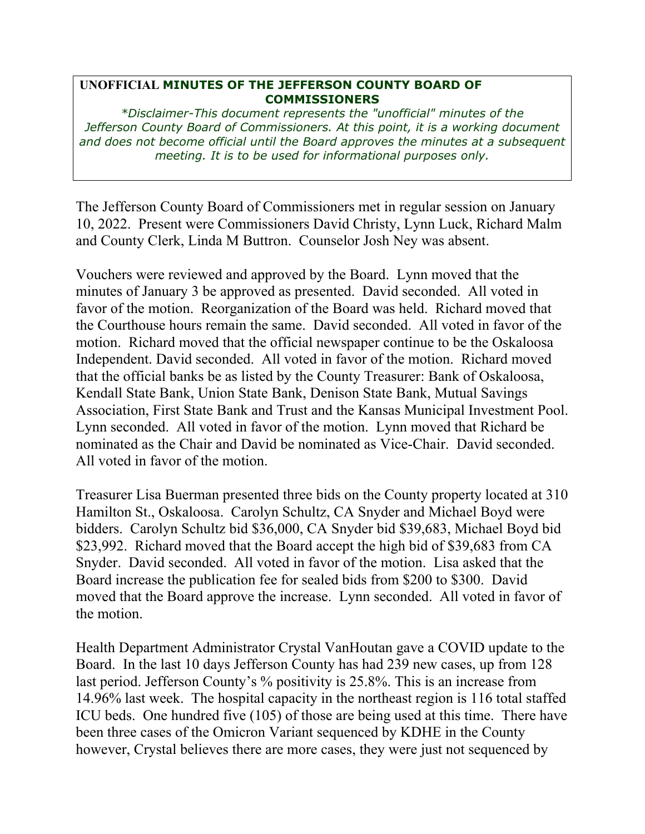## **UNOFFICIAL MINUTES OF THE JEFFERSON COUNTY BOARD OF COMMISSIONERS**

*\*Disclaimer-This document represents the "unofficial" minutes of the Jefferson County Board of Commissioners. At this point, it is a working document and does not become official until the Board approves the minutes at a subsequent meeting. It is to be used for informational purposes only.* 

The Jefferson County Board of Commissioners met in regular session on January 10, 2022. Present were Commissioners David Christy, Lynn Luck, Richard Malm and County Clerk, Linda M Buttron. Counselor Josh Ney was absent.

Vouchers were reviewed and approved by the Board. Lynn moved that the minutes of January 3 be approved as presented. David seconded. All voted in favor of the motion. Reorganization of the Board was held. Richard moved that the Courthouse hours remain the same. David seconded. All voted in favor of the motion. Richard moved that the official newspaper continue to be the Oskaloosa Independent. David seconded. All voted in favor of the motion. Richard moved that the official banks be as listed by the County Treasurer: Bank of Oskaloosa, Kendall State Bank, Union State Bank, Denison State Bank, Mutual Savings Association, First State Bank and Trust and the Kansas Municipal Investment Pool. Lynn seconded. All voted in favor of the motion. Lynn moved that Richard be nominated as the Chair and David be nominated as Vice-Chair. David seconded. All voted in favor of the motion.

Treasurer Lisa Buerman presented three bids on the County property located at 310 Hamilton St., Oskaloosa. Carolyn Schultz, CA Snyder and Michael Boyd were bidders. Carolyn Schultz bid \$36,000, CA Snyder bid \$39,683, Michael Boyd bid \$23,992. Richard moved that the Board accept the high bid of \$39,683 from CA Snyder. David seconded. All voted in favor of the motion. Lisa asked that the Board increase the publication fee for sealed bids from \$200 to \$300. David moved that the Board approve the increase. Lynn seconded. All voted in favor of the motion.

Health Department Administrator Crystal VanHoutan gave a COVID update to the Board. In the last 10 days Jefferson County has had 239 new cases, up from 128 last period. Jefferson County's % positivity is 25.8%. This is an increase from 14.96% last week. The hospital capacity in the northeast region is 116 total staffed ICU beds. One hundred five (105) of those are being used at this time. There have been three cases of the Omicron Variant sequenced by KDHE in the County however, Crystal believes there are more cases, they were just not sequenced by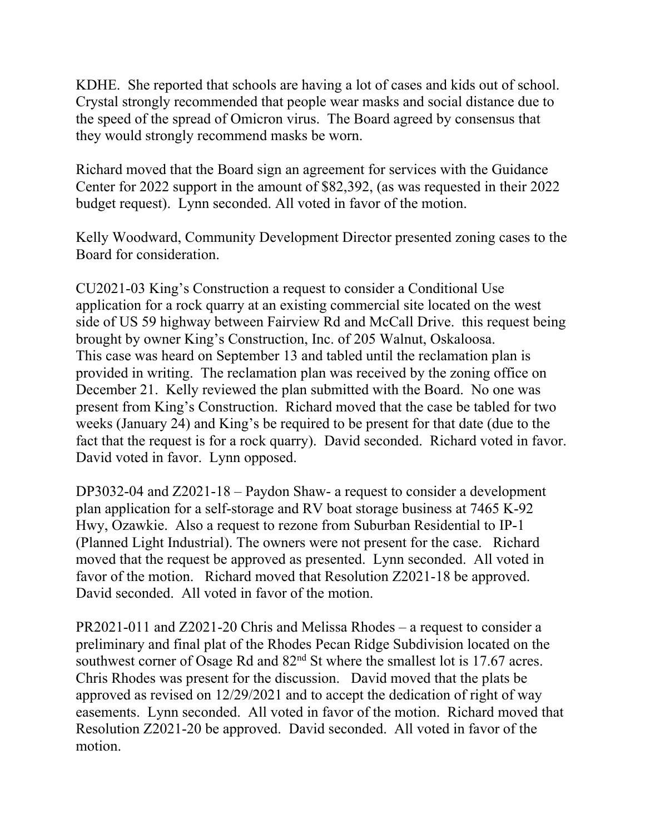KDHE. She reported that schools are having a lot of cases and kids out of school. Crystal strongly recommended that people wear masks and social distance due to the speed of the spread of Omicron virus. The Board agreed by consensus that they would strongly recommend masks be worn.

Richard moved that the Board sign an agreement for services with the Guidance Center for 2022 support in the amount of \$82,392, (as was requested in their 2022 budget request). Lynn seconded. All voted in favor of the motion.

Kelly Woodward, Community Development Director presented zoning cases to the Board for consideration.

CU2021-03 King's Construction a request to consider a Conditional Use application for a rock quarry at an existing commercial site located on the west side of US 59 highway between Fairview Rd and McCall Drive. this request being brought by owner King's Construction, Inc. of 205 Walnut, Oskaloosa. This case was heard on September 13 and tabled until the reclamation plan is provided in writing. The reclamation plan was received by the zoning office on December 21. Kelly reviewed the plan submitted with the Board. No one was present from King's Construction. Richard moved that the case be tabled for two weeks (January 24) and King's be required to be present for that date (due to the fact that the request is for a rock quarry). David seconded. Richard voted in favor. David voted in favor. Lynn opposed.

DP3032-04 and Z2021-18 – Paydon Shaw- a request to consider a development plan application for a self-storage and RV boat storage business at 7465 K-92 Hwy, Ozawkie. Also a request to rezone from Suburban Residential to IP-1 (Planned Light Industrial). The owners were not present for the case. Richard moved that the request be approved as presented. Lynn seconded. All voted in favor of the motion. Richard moved that Resolution Z2021-18 be approved. David seconded. All voted in favor of the motion.

PR2021-011 and Z2021-20 Chris and Melissa Rhodes – a request to consider a preliminary and final plat of the Rhodes Pecan Ridge Subdivision located on the southwest corner of Osage Rd and  $82<sup>nd</sup>$  St where the smallest lot is 17.67 acres. Chris Rhodes was present for the discussion. David moved that the plats be approved as revised on 12/29/2021 and to accept the dedication of right of way easements. Lynn seconded. All voted in favor of the motion. Richard moved that Resolution Z2021-20 be approved. David seconded. All voted in favor of the motion.